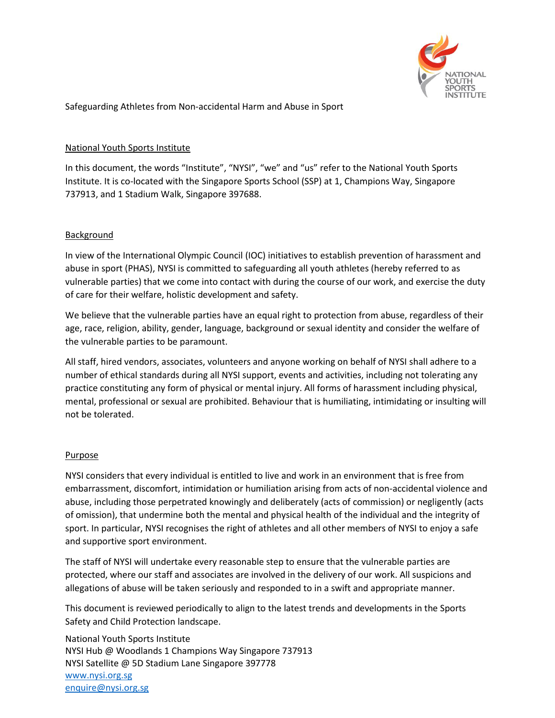

Safeguarding Athletes from Non-accidental Harm and Abuse in Sport

## National Youth Sports Institute

In this document, the words "Institute", "NYSI", "we" and "us" refer to the National Youth Sports Institute. It is co-located with the Singapore Sports School (SSP) at 1, Champions Way, Singapore 737913, and 1 Stadium Walk, Singapore 397688.

### Background

In view of the International Olympic Council (IOC) initiatives to establish prevention of harassment and abuse in sport (PHAS), NYSI is committed to safeguarding all youth athletes (hereby referred to as vulnerable parties) that we come into contact with during the course of our work, and exercise the duty of care for their welfare, holistic development and safety.

We believe that the vulnerable parties have an equal right to protection from abuse, regardless of their age, race, religion, ability, gender, language, background or sexual identity and consider the welfare of the vulnerable parties to be paramount.

All staff, hired vendors, associates, volunteers and anyone working on behalf of NYSI shall adhere to a number of ethical standards during all NYSI support, events and activities, including not tolerating any practice constituting any form of physical or mental injury. All forms of harassment including physical, mental, professional or sexual are prohibited. Behaviour that is humiliating, intimidating or insulting will not be tolerated.

#### Purpose

NYSI considers that every individual is entitled to live and work in an environment that is free from embarrassment, discomfort, intimidation or humiliation arising from acts of non-accidental violence and abuse, including those perpetrated knowingly and deliberately (acts of commission) or negligently (acts of omission), that undermine both the mental and physical health of the individual and the integrity of sport. In particular, NYSI recognises the right of athletes and all other members of NYSI to enjoy a safe and supportive sport environment.

The staff of NYSI will undertake every reasonable step to ensure that the vulnerable parties are protected, where our staff and associates are involved in the delivery of our work. All suspicions and allegations of abuse will be taken seriously and responded to in a swift and appropriate manner.

This document is reviewed periodically to align to the latest trends and developments in the Sports Safety and Child Protection landscape.

National Youth Sports Institute NYSI Hub @ Woodlands 1 Champions Way Singapore 737913 NYSI Satellite @ 5D Stadium Lane Singapore 397778 [www.nysi.org.sg](http://www.nysi.org.sg/) [enquire@nysi.org.sg](mailto:enquire@nysi.org.sg)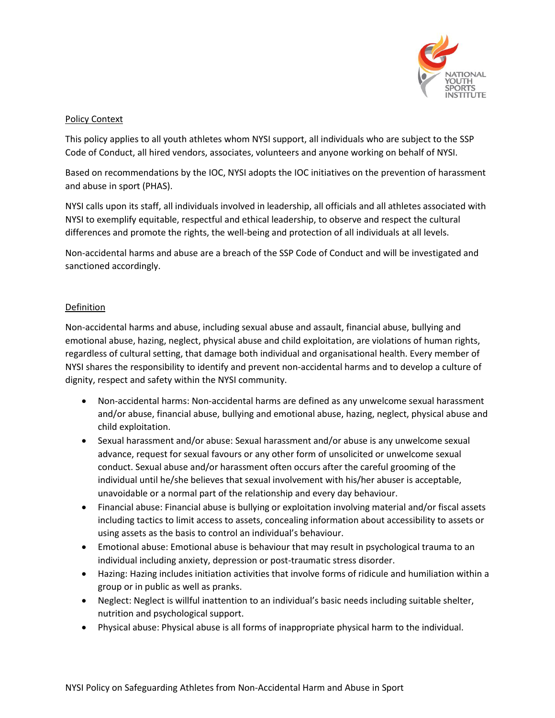

### Policy Context

This policy applies to all youth athletes whom NYSI support, all individuals who are subject to the SSP Code of Conduct, all hired vendors, associates, volunteers and anyone working on behalf of NYSI.

Based on recommendations by the IOC, NYSI adopts the IOC initiatives on the prevention of harassment and abuse in sport (PHAS).

NYSI calls upon its staff, all individuals involved in leadership, all officials and all athletes associated with NYSI to exemplify equitable, respectful and ethical leadership, to observe and respect the cultural differences and promote the rights, the well-being and protection of all individuals at all levels.

Non-accidental harms and abuse are a breach of the SSP Code of Conduct and will be investigated and sanctioned accordingly.

### Definition

Non-accidental harms and abuse, including sexual abuse and assault, financial abuse, bullying and emotional abuse, hazing, neglect, physical abuse and child exploitation, are violations of human rights, regardless of cultural setting, that damage both individual and organisational health. Every member of NYSI shares the responsibility to identify and prevent non-accidental harms and to develop a culture of dignity, respect and safety within the NYSI community.

- Non-accidental harms: Non-accidental harms are defined as any unwelcome sexual harassment and/or abuse, financial abuse, bullying and emotional abuse, hazing, neglect, physical abuse and child exploitation.
- Sexual harassment and/or abuse: Sexual harassment and/or abuse is any unwelcome sexual advance, request for sexual favours or any other form of unsolicited or unwelcome sexual conduct. Sexual abuse and/or harassment often occurs after the careful grooming of the individual until he/she believes that sexual involvement with his/her abuser is acceptable, unavoidable or a normal part of the relationship and every day behaviour.
- Financial abuse: Financial abuse is bullying or exploitation involving material and/or fiscal assets including tactics to limit access to assets, concealing information about accessibility to assets or using assets as the basis to control an individual's behaviour.
- Emotional abuse: Emotional abuse is behaviour that may result in psychological trauma to an individual including anxiety, depression or post-traumatic stress disorder.
- Hazing: Hazing includes initiation activities that involve forms of ridicule and humiliation within a group or in public as well as pranks.
- Neglect: Neglect is willful inattention to an individual's basic needs including suitable shelter, nutrition and psychological support.
- Physical abuse: Physical abuse is all forms of inappropriate physical harm to the individual.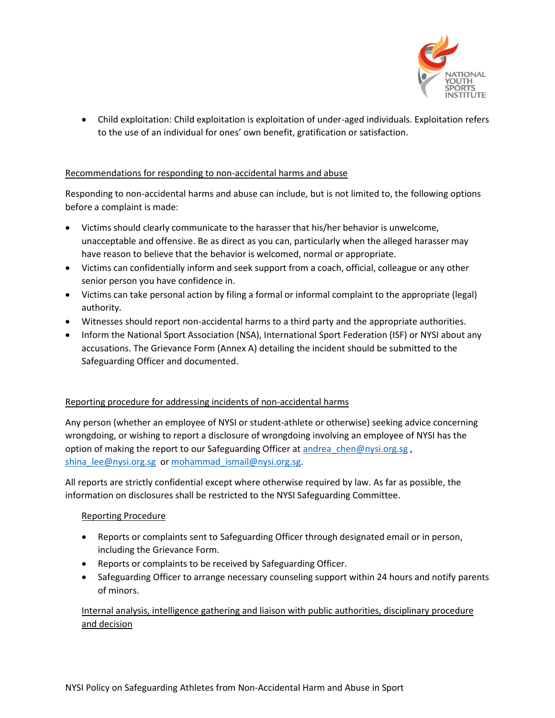

 Child exploitation: Child exploitation is exploitation of under-aged individuals. Exploitation refers to the use of an individual for ones' own benefit, gratification or satisfaction.

### Recommendations for responding to non-accidental harms and abuse

Responding to non-accidental harms and abuse can include, but is not limited to, the following options before a complaint is made:

- Victims should clearly communicate to the harasser that his/her behavior is unwelcome, unacceptable and offensive. Be as direct as you can, particularly when the alleged harasser may have reason to believe that the behavior is welcomed, normal or appropriate.
- Victims can confidentially inform and seek support from a coach, official, colleague or any other senior person you have confidence in.
- Victims can take personal action by filing a formal or informal complaint to the appropriate (legal) authority.
- Witnesses should report non-accidental harms to a third party and the appropriate authorities.
- Inform the National Sport Association (NSA), International Sport Federation (ISF) or NYSI about any accusations. The Grievance Form (Annex A) detailing the incident should be submitted to the Safeguarding Officer and documented.

# Reporting procedure for addressing incidents of non-accidental harms

Any person (whether an employee of NYSI or student-athlete or otherwise) seeking advice concerning wrongdoing, or wishing to report a disclosure of wrongdoing involving an employee of NYSI has the option of making the report to our Safeguarding Officer at andrea chen@nysi.org.sg , [shina\\_lee@nysi.org.sg](mailto:shina_lee@nysi.org.sg) or [mohammad\\_ismail@nysi.org.sg.](mailto:mohammad_ismail@nysi.org.sg)

All reports are strictly confidential except where otherwise required by law. As far as possible, the information on disclosures shall be restricted to the NYSI Safeguarding Committee.

#### Reporting Procedure

- Reports or complaints sent to Safeguarding Officer through designated email or in person, including the Grievance Form.
- Reports or complaints to be received by Safeguarding Officer.
- Safeguarding Officer to arrange necessary counseling support within 24 hours and notify parents of minors.

Internal analysis, intelligence gathering and liaison with public authorities, disciplinary procedure and decision